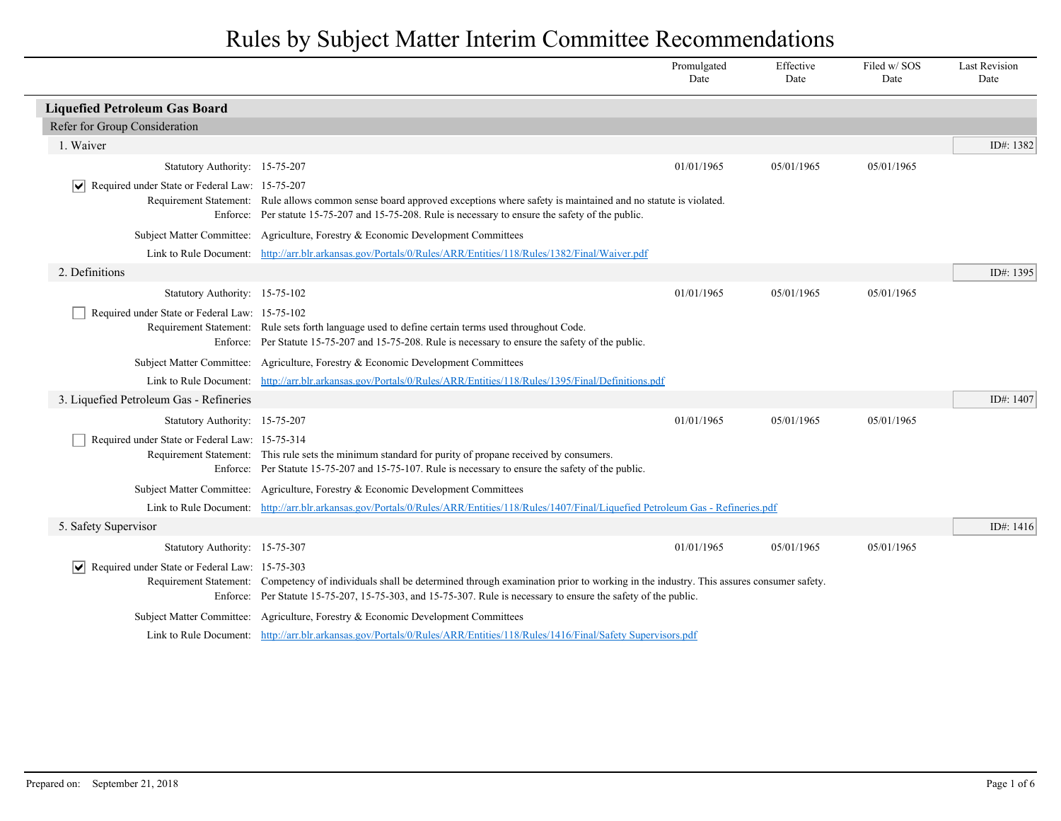|                                                               |                                                                                                                                                                                                                                                                                                                               | Promulgated<br>Date | Effective<br>Date | Filed w/SOS<br>Date | <b>Last Revision</b><br>Date |
|---------------------------------------------------------------|-------------------------------------------------------------------------------------------------------------------------------------------------------------------------------------------------------------------------------------------------------------------------------------------------------------------------------|---------------------|-------------------|---------------------|------------------------------|
| <b>Liquefied Petroleum Gas Board</b>                          |                                                                                                                                                                                                                                                                                                                               |                     |                   |                     |                              |
| Refer for Group Consideration                                 |                                                                                                                                                                                                                                                                                                                               |                     |                   |                     |                              |
| 1. Waiver                                                     |                                                                                                                                                                                                                                                                                                                               |                     |                   |                     | ID#: 1382                    |
| Statutory Authority: 15-75-207                                |                                                                                                                                                                                                                                                                                                                               | 01/01/1965          | 05/01/1965        | 05/01/1965          |                              |
| $ \mathbf{v} $ Required under State or Federal Law: 15-75-207 | Requirement Statement: Rule allows common sense board approved exceptions where safety is maintained and no statute is violated.<br>Enforce: Per statute 15-75-207 and 15-75-208. Rule is necessary to ensure the safety of the public.                                                                                       |                     |                   |                     |                              |
|                                                               | Subject Matter Committee: Agriculture, Forestry & Economic Development Committees                                                                                                                                                                                                                                             |                     |                   |                     |                              |
|                                                               | Link to Rule Document: http://arr.blr.arkansas.gov/Portals/0/Rules/ARR/Entities/118/Rules/1382/Final/Waiver.pdf                                                                                                                                                                                                               |                     |                   |                     |                              |
| 2. Definitions                                                |                                                                                                                                                                                                                                                                                                                               |                     |                   |                     | ID#: 1395                    |
| Statutory Authority: 15-75-102                                |                                                                                                                                                                                                                                                                                                                               | 01/01/1965          | 05/01/1965        | 05/01/1965          |                              |
| Required under State or Federal Law: 15-75-102                | Requirement Statement: Rule sets forth language used to define certain terms used throughout Code.<br>Enforce: Per Statute 15-75-207 and 15-75-208. Rule is necessary to ensure the safety of the public.                                                                                                                     |                     |                   |                     |                              |
|                                                               | Subject Matter Committee: Agriculture, Forestry & Economic Development Committees                                                                                                                                                                                                                                             |                     |                   |                     |                              |
|                                                               | Link to Rule Document: http://arr.blr.arkansas.gov/Portals/0/Rules/ARR/Entities/118/Rules/1395/Final/Definitions.pdf                                                                                                                                                                                                          |                     |                   |                     |                              |
| 3. Liquefied Petroleum Gas - Refineries                       |                                                                                                                                                                                                                                                                                                                               |                     |                   |                     | ID#: 1407                    |
| Statutory Authority: 15-75-207                                |                                                                                                                                                                                                                                                                                                                               | 01/01/1965          | 05/01/1965        | 05/01/1965          |                              |
| Required under State or Federal Law: 15-75-314                | Requirement Statement: This rule sets the minimum standard for purity of propane received by consumers.<br>Enforce: Per Statute 15-75-207 and 15-75-107. Rule is necessary to ensure the safety of the public.                                                                                                                |                     |                   |                     |                              |
|                                                               | Subject Matter Committee: Agriculture, Forestry & Economic Development Committees                                                                                                                                                                                                                                             |                     |                   |                     |                              |
|                                                               | Link to Rule Document: http://arr.blr.arkansas.gov/Portals/0/Rules/ARR/Entities/118/Rules/1407/Final/Liquefied Petroleum Gas - Refineries.pdf                                                                                                                                                                                 |                     |                   |                     |                              |
| 5. Safety Supervisor                                          |                                                                                                                                                                                                                                                                                                                               |                     |                   |                     | ID#: 1416                    |
| Statutory Authority: 15-75-307                                |                                                                                                                                                                                                                                                                                                                               | 01/01/1965          | 05/01/1965        | 05/01/1965          |                              |
| $\vert \bm \vee \vert$                                        | Required under State or Federal Law: 15-75-303<br>Requirement Statement: Competency of individuals shall be determined through examination prior to working in the industry. This assures consumer safety.<br>Enforce: Per Statute 15-75-207, 15-75-303, and 15-75-307. Rule is necessary to ensure the safety of the public. |                     |                   |                     |                              |
|                                                               | Subject Matter Committee: Agriculture, Forestry & Economic Development Committees                                                                                                                                                                                                                                             |                     |                   |                     |                              |
|                                                               | Link to Rule Document: http://arr.blr.arkansas.gov/Portals/0/Rules/ARR/Entities/118/Rules/1416/Final/Safety Supervisors.pdf                                                                                                                                                                                                   |                     |                   |                     |                              |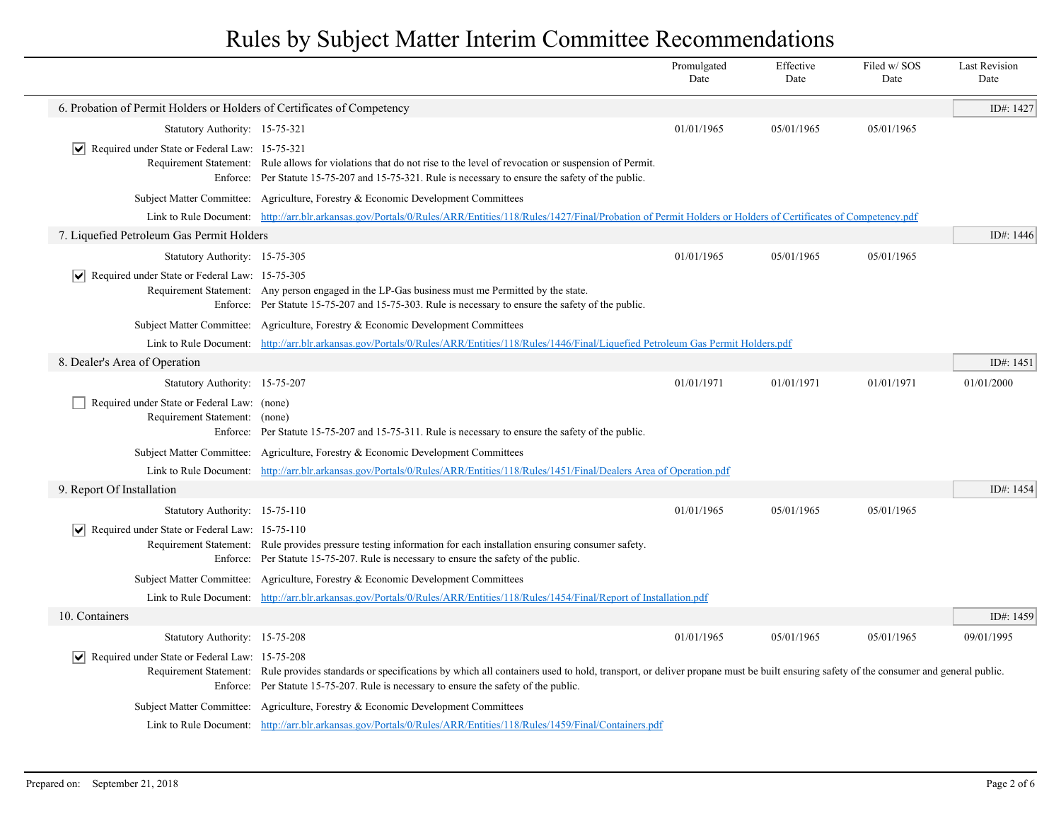|                                                                              |                                                                                                                                                                                                                                                                                                 | Promulgated<br>Date | Effective<br>Date | Filed w/SOS<br>Date | <b>Last Revision</b><br>Date |
|------------------------------------------------------------------------------|-------------------------------------------------------------------------------------------------------------------------------------------------------------------------------------------------------------------------------------------------------------------------------------------------|---------------------|-------------------|---------------------|------------------------------|
| 6. Probation of Permit Holders or Holders of Certificates of Competency      |                                                                                                                                                                                                                                                                                                 |                     |                   |                     | ID#: 1427                    |
| Statutory Authority: 15-75-321                                               |                                                                                                                                                                                                                                                                                                 | 01/01/1965          | 05/01/1965        | 05/01/1965          |                              |
| ∣V∣<br>Required under State or Federal Law: 15-75-321                        | Requirement Statement: Rule allows for violations that do not rise to the level of revocation or suspension of Permit.<br>Enforce: Per Statute 15-75-207 and 15-75-321. Rule is necessary to ensure the safety of the public.                                                                   |                     |                   |                     |                              |
|                                                                              | Subject Matter Committee: Agriculture, Forestry & Economic Development Committees                                                                                                                                                                                                               |                     |                   |                     |                              |
|                                                                              | Link to Rule Document: http://arr.blr.arkansas.gov/Portals/0/Rules/ARR/Entities/118/Rules/1427/Final/Probation of Permit Holders or Holders of Certificates of Competency.pdf                                                                                                                   |                     |                   |                     |                              |
| 7. Liquefied Petroleum Gas Permit Holders                                    |                                                                                                                                                                                                                                                                                                 |                     |                   |                     | ID#: 1446                    |
| Statutory Authority: 15-75-305                                               |                                                                                                                                                                                                                                                                                                 | 01/01/1965          | 05/01/1965        | 05/01/1965          |                              |
| $ \bm{\mathsf{v}} $<br>Required under State or Federal Law: 15-75-305        | Requirement Statement: Any person engaged in the LP-Gas business must me Permitted by the state.<br>Enforce: Per Statute 15-75-207 and 15-75-303. Rule is necessary to ensure the safety of the public.                                                                                         |                     |                   |                     |                              |
|                                                                              | Subject Matter Committee: Agriculture, Forestry & Economic Development Committees                                                                                                                                                                                                               |                     |                   |                     |                              |
|                                                                              | Link to Rule Document: http://arr.blr.arkansas.gov/Portals/0/Rules/ARR/Entities/118/Rules/1446/Final/Liquefied Petroleum Gas Permit Holders.pdf                                                                                                                                                 |                     |                   |                     |                              |
| 8. Dealer's Area of Operation                                                |                                                                                                                                                                                                                                                                                                 |                     |                   |                     | ID#: 1451                    |
| Statutory Authority: 15-75-207                                               |                                                                                                                                                                                                                                                                                                 | 01/01/1971          | 01/01/1971        | 01/01/1971          | 01/01/2000                   |
| Required under State or Federal Law: (none)<br>Requirement Statement: (none) | Enforce: Per Statute 15-75-207 and 15-75-311. Rule is necessary to ensure the safety of the public.                                                                                                                                                                                             |                     |                   |                     |                              |
|                                                                              | Subject Matter Committee: Agriculture, Forestry & Economic Development Committees                                                                                                                                                                                                               |                     |                   |                     |                              |
|                                                                              | Link to Rule Document: http://arr.blr.arkansas.gov/Portals/0/Rules/ARR/Entities/118/Rules/1451/Final/Dealers Area of Operation.pdf                                                                                                                                                              |                     |                   |                     |                              |
| 9. Report Of Installation                                                    |                                                                                                                                                                                                                                                                                                 |                     |                   |                     | ID#: 1454                    |
| Statutory Authority: 15-75-110                                               |                                                                                                                                                                                                                                                                                                 | 01/01/1965          | 05/01/1965        | 05/01/1965          |                              |
| Required under State or Federal Law: 15-75-110                               | Requirement Statement: Rule provides pressure testing information for each installation ensuring consumer safety.<br>Enforce: Per Statute 15-75-207. Rule is necessary to ensure the safety of the public.                                                                                      |                     |                   |                     |                              |
|                                                                              | Subject Matter Committee: Agriculture, Forestry & Economic Development Committees                                                                                                                                                                                                               |                     |                   |                     |                              |
|                                                                              | Link to Rule Document: http://arr.blr.arkansas.gov/Portals/0/Rules/ARR/Entities/118/Rules/1454/Final/Report of Installation.pdf                                                                                                                                                                 |                     |                   |                     |                              |
| 10. Containers                                                               |                                                                                                                                                                                                                                                                                                 |                     |                   |                     | ID#: 1459                    |
| Statutory Authority: 15-75-208                                               |                                                                                                                                                                                                                                                                                                 | 01/01/1965          | 05/01/1965        | 05/01/1965          | 09/01/1995                   |
| Required under State or Federal Law: 15-75-208                               | Requirement Statement: Rule provides standards or specifications by which all containers used to hold, transport, or deliver propane must be built ensuring safety of the consumer and general public.<br>Enforce: Per Statute 15-75-207. Rule is necessary to ensure the safety of the public. |                     |                   |                     |                              |
|                                                                              | Subject Matter Committee: Agriculture, Forestry & Economic Development Committees                                                                                                                                                                                                               |                     |                   |                     |                              |
|                                                                              | Link to Rule Document: http://arr.blr.arkansas.gov/Portals/0/Rules/ARR/Entities/118/Rules/1459/Final/Containers.pdf                                                                                                                                                                             |                     |                   |                     |                              |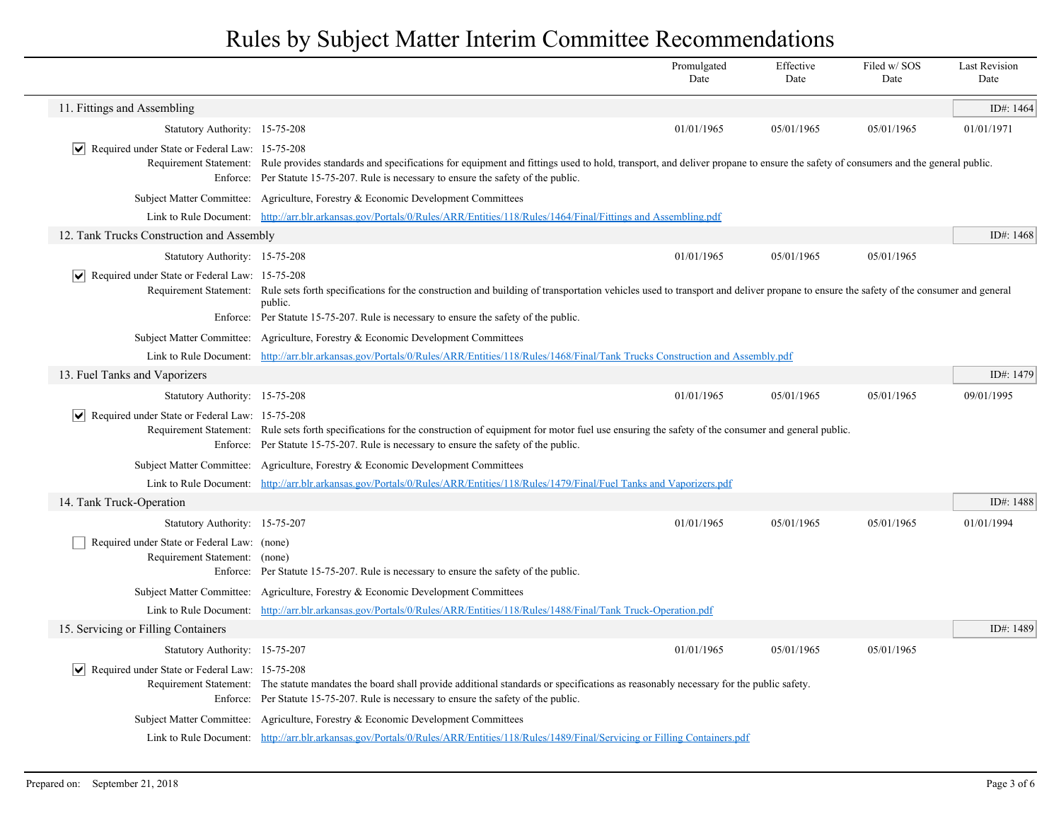|                                                                              |                                                                                                                                                                                                                                                                                              | Promulgated<br>Date | Effective<br>Date | Filed w/SOS<br>Date | <b>Last Revision</b><br>Date |
|------------------------------------------------------------------------------|----------------------------------------------------------------------------------------------------------------------------------------------------------------------------------------------------------------------------------------------------------------------------------------------|---------------------|-------------------|---------------------|------------------------------|
| 11. Fittings and Assembling                                                  |                                                                                                                                                                                                                                                                                              |                     |                   |                     | ID#: 1464                    |
| Statutory Authority: 15-75-208                                               |                                                                                                                                                                                                                                                                                              | 01/01/1965          | 05/01/1965        | 05/01/1965          | 01/01/1971                   |
| $ \mathbf{v} $ Required under State or Federal Law: 15-75-208                | Requirement Statement: Rule provides standards and specifications for equipment and fittings used to hold, transport, and deliver propane to ensure the safety of consumers and the general public.<br>Enforce: Per Statute 15-75-207. Rule is necessary to ensure the safety of the public. |                     |                   |                     |                              |
|                                                                              | Subject Matter Committee: Agriculture, Forestry & Economic Development Committees                                                                                                                                                                                                            |                     |                   |                     |                              |
|                                                                              | Link to Rule Document: http://arr.blr.arkansas.gov/Portals/0/Rules/ARR/Entities/118/Rules/1464/Final/Fittings and Assembling.pdf                                                                                                                                                             |                     |                   |                     |                              |
| 12. Tank Trucks Construction and Assembly                                    |                                                                                                                                                                                                                                                                                              |                     |                   |                     | ID#: $1468$                  |
| Statutory Authority: 15-75-208                                               |                                                                                                                                                                                                                                                                                              | 01/01/1965          | 05/01/1965        | 05/01/1965          |                              |
| $ \mathbf{v} $ Required under State or Federal Law: 15-75-208                | Requirement Statement: Rule sets forth specifications for the construction and building of transportation vehicles used to transport and deliver propane to ensure the safety of the consumer and general<br>public.                                                                         |                     |                   |                     |                              |
|                                                                              | Enforce: Per Statute 15-75-207. Rule is necessary to ensure the safety of the public.                                                                                                                                                                                                        |                     |                   |                     |                              |
|                                                                              | Subject Matter Committee: Agriculture, Forestry & Economic Development Committees                                                                                                                                                                                                            |                     |                   |                     |                              |
|                                                                              | Link to Rule Document: http://arr.blr.arkansas.gov/Portals/0/Rules/ARR/Entities/118/Rules/1468/Final/Tank Trucks Construction and Assembly.pdf                                                                                                                                               |                     |                   |                     |                              |
| 13. Fuel Tanks and Vaporizers                                                |                                                                                                                                                                                                                                                                                              |                     |                   |                     | ID#: 1479                    |
| Statutory Authority: 15-75-208                                               |                                                                                                                                                                                                                                                                                              | 01/01/1965          | 05/01/1965        | 05/01/1965          | 09/01/1995                   |
| $\triangleright$ Required under State or Federal Law: 15-75-208              | Requirement Statement: Rule sets forth specifications for the construction of equipment for motor fuel use ensuring the safety of the consumer and general public.<br>Enforce: Per Statute 15-75-207. Rule is necessary to ensure the safety of the public.                                  |                     |                   |                     |                              |
|                                                                              | Subject Matter Committee: Agriculture, Forestry & Economic Development Committees                                                                                                                                                                                                            |                     |                   |                     |                              |
|                                                                              | Link to Rule Document: http://arr.blr.arkansas.gov/Portals/0/Rules/ARR/Entities/118/Rules/1479/Final/Fuel Tanks and Vaporizers.pdf                                                                                                                                                           |                     |                   |                     |                              |
| 14. Tank Truck-Operation                                                     |                                                                                                                                                                                                                                                                                              |                     |                   |                     | ID#: 1488                    |
| Statutory Authority: 15-75-207                                               |                                                                                                                                                                                                                                                                                              | 01/01/1965          | 05/01/1965        | 05/01/1965          | 01/01/1994                   |
| Required under State or Federal Law: (none)<br>Requirement Statement: (none) | Enforce: Per Statute 15-75-207. Rule is necessary to ensure the safety of the public.                                                                                                                                                                                                        |                     |                   |                     |                              |
|                                                                              | Subject Matter Committee: Agriculture, Forestry & Economic Development Committees                                                                                                                                                                                                            |                     |                   |                     |                              |
|                                                                              | Link to Rule Document: http://arr.blr.arkansas.gov/Portals/0/Rules/ARR/Entities/118/Rules/1488/Final/Tank Truck-Operation.pdf                                                                                                                                                                |                     |                   |                     |                              |
| 15. Servicing or Filling Containers                                          |                                                                                                                                                                                                                                                                                              |                     |                   |                     | ID#: 1489                    |
| Statutory Authority: 15-75-207                                               |                                                                                                                                                                                                                                                                                              | 01/01/1965          | 05/01/1965        | 05/01/1965          |                              |
| $ \mathbf{v} $ Required under State or Federal Law: 15-75-208                | Requirement Statement: The statute mandates the board shall provide additional standards or specifications as reasonably necessary for the public safety.<br>Enforce: Per Statute 15-75-207. Rule is necessary to ensure the safety of the public.                                           |                     |                   |                     |                              |
|                                                                              | Subject Matter Committee: Agriculture, Forestry & Economic Development Committees                                                                                                                                                                                                            |                     |                   |                     |                              |
|                                                                              | Link to Rule Document: http://arr.blr.arkansas.gov/Portals/0/Rules/ARR/Entities/118/Rules/1489/Final/Servicing or Filling Containers.pdf                                                                                                                                                     |                     |                   |                     |                              |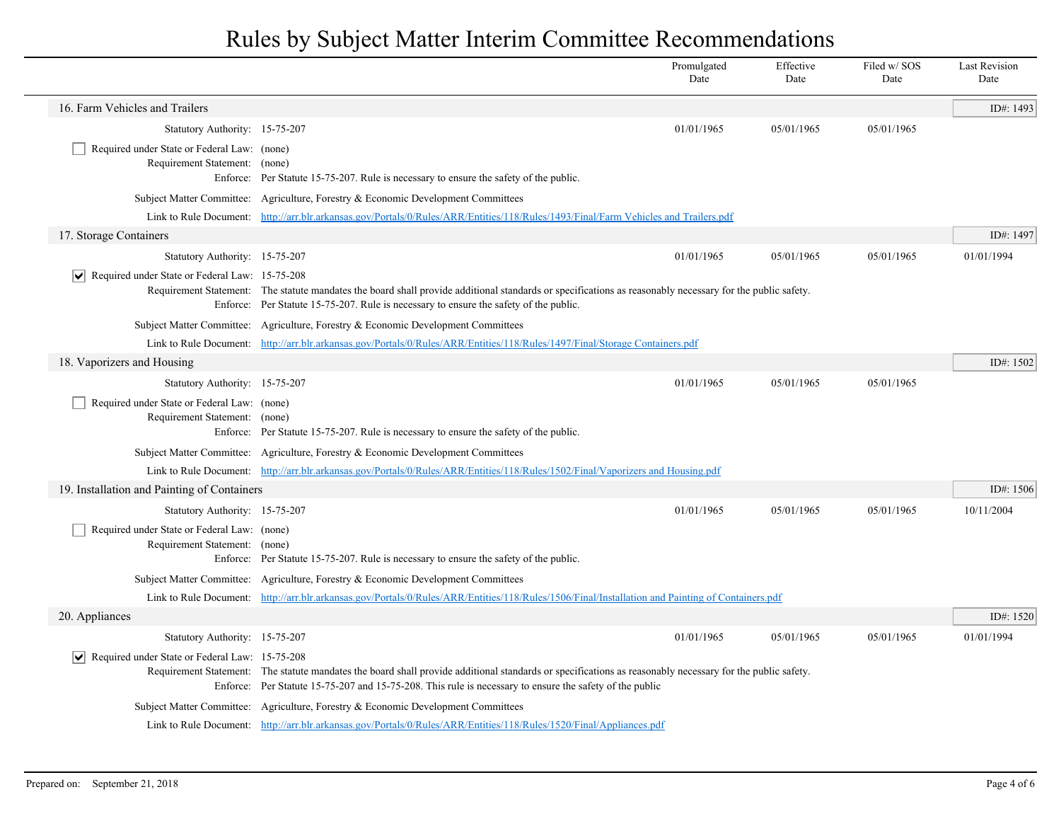|                                                                              |                                                                                                                                                                                                                                                                      | Promulgated<br>Date | Effective<br>Date | Filed w/SOS<br>Date | <b>Last Revision</b><br>Date |
|------------------------------------------------------------------------------|----------------------------------------------------------------------------------------------------------------------------------------------------------------------------------------------------------------------------------------------------------------------|---------------------|-------------------|---------------------|------------------------------|
| 16. Farm Vehicles and Trailers                                               |                                                                                                                                                                                                                                                                      |                     |                   |                     | ID#: 1493                    |
| Statutory Authority: 15-75-207                                               |                                                                                                                                                                                                                                                                      | 01/01/1965          | 05/01/1965        | 05/01/1965          |                              |
| Required under State or Federal Law: (none)<br>Requirement Statement: (none) | Enforce: Per Statute 15-75-207. Rule is necessary to ensure the safety of the public.                                                                                                                                                                                |                     |                   |                     |                              |
|                                                                              | Subject Matter Committee: Agriculture, Forestry & Economic Development Committees                                                                                                                                                                                    |                     |                   |                     |                              |
|                                                                              | Link to Rule Document: http://arr.blr.arkansas.gov/Portals/0/Rules/ARR/Entities/118/Rules/1493/Final/Farm Vehicles and Trailers.pdf                                                                                                                                  |                     |                   |                     |                              |
| 17. Storage Containers                                                       |                                                                                                                                                                                                                                                                      |                     |                   |                     | ID#: 1497                    |
| Statutory Authority: 15-75-207                                               |                                                                                                                                                                                                                                                                      | 01/01/1965          | 05/01/1965        | 05/01/1965          | 01/01/1994                   |
| Required under State or Federal Law: 15-75-208<br>$ \vee $                   | Requirement Statement: The statute mandates the board shall provide additional standards or specifications as reasonably necessary for the public safety.<br>Enforce: Per Statute 15-75-207. Rule is necessary to ensure the safety of the public.                   |                     |                   |                     |                              |
|                                                                              | Subject Matter Committee: Agriculture, Forestry & Economic Development Committees                                                                                                                                                                                    |                     |                   |                     |                              |
|                                                                              | Link to Rule Document: http://arr.blr.arkansas.gov/Portals/0/Rules/ARR/Entities/118/Rules/1497/Final/Storage Containers.pdf                                                                                                                                          |                     |                   |                     |                              |
| 18. Vaporizers and Housing                                                   |                                                                                                                                                                                                                                                                      |                     |                   |                     | ID#: 1502                    |
| Statutory Authority: 15-75-207                                               |                                                                                                                                                                                                                                                                      | 01/01/1965          | 05/01/1965        | 05/01/1965          |                              |
| Required under State or Federal Law: (none)<br>Requirement Statement: (none) | Enforce: Per Statute 15-75-207. Rule is necessary to ensure the safety of the public.                                                                                                                                                                                |                     |                   |                     |                              |
|                                                                              | Subject Matter Committee: Agriculture, Forestry & Economic Development Committees                                                                                                                                                                                    |                     |                   |                     |                              |
|                                                                              | Link to Rule Document: http://arr.blr.arkansas.gov/Portals/0/Rules/ARR/Entities/118/Rules/1502/Final/Vaporizers and Housing.pdf                                                                                                                                      |                     |                   |                     |                              |
| 19. Installation and Painting of Containers                                  |                                                                                                                                                                                                                                                                      |                     |                   |                     | ID#: 1506                    |
| Statutory Authority: 15-75-207                                               |                                                                                                                                                                                                                                                                      | 01/01/1965          | 05/01/1965        | 05/01/1965          | 10/11/2004                   |
| Required under State or Federal Law: (none)<br>Requirement Statement: (none) | Enforce: Per Statute 15-75-207. Rule is necessary to ensure the safety of the public.                                                                                                                                                                                |                     |                   |                     |                              |
|                                                                              | Subject Matter Committee: Agriculture, Forestry & Economic Development Committees                                                                                                                                                                                    |                     |                   |                     |                              |
|                                                                              | Link to Rule Document: http://arr.blr.arkansas.gov/Portals/0/Rules/ARR/Entities/118/Rules/1506/Final/Installation and Painting of Containers.pdf                                                                                                                     |                     |                   |                     |                              |
| 20. Appliances                                                               |                                                                                                                                                                                                                                                                      |                     |                   |                     | ID#: 1520                    |
| Statutory Authority: 15-75-207                                               |                                                                                                                                                                                                                                                                      | 01/01/1965          | 05/01/1965        | 05/01/1965          | 01/01/1994                   |
| Required under State or Federal Law: 15-75-208<br>$ \bm{\mathsf{v}} $        | Requirement Statement: The statute mandates the board shall provide additional standards or specifications as reasonably necessary for the public safety.<br>Enforce: Per Statute 15-75-207 and 15-75-208. This rule is necessary to ensure the safety of the public |                     |                   |                     |                              |
|                                                                              | Subject Matter Committee: Agriculture, Forestry & Economic Development Committees                                                                                                                                                                                    |                     |                   |                     |                              |
|                                                                              | Link to Rule Document: http://arr.blr.arkansas.gov/Portals/0/Rules/ARR/Entities/118/Rules/1520/Final/Appliances.pdf                                                                                                                                                  |                     |                   |                     |                              |

 $\overline{\phantom{a}}$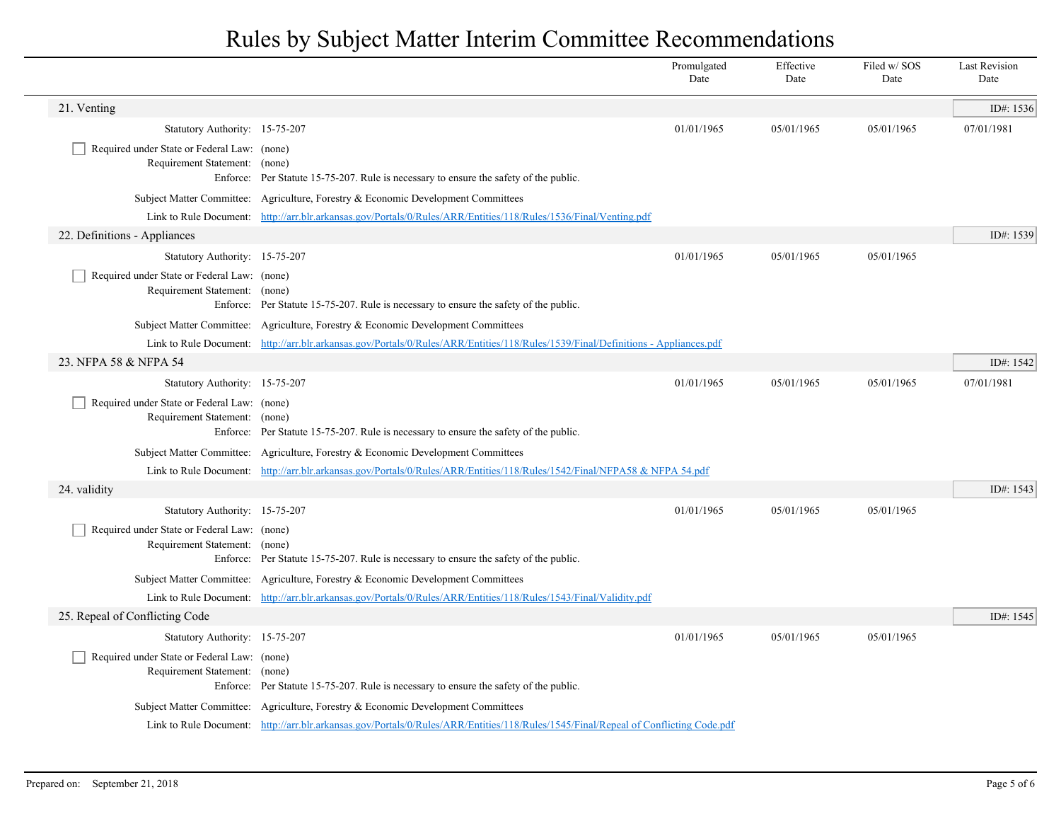|                                                                              |                                                                                                                                     | Promulgated<br>Date | Effective<br>Date | Filed w/SOS<br>Date | <b>Last Revision</b><br>Date |
|------------------------------------------------------------------------------|-------------------------------------------------------------------------------------------------------------------------------------|---------------------|-------------------|---------------------|------------------------------|
| 21. Venting                                                                  |                                                                                                                                     |                     |                   |                     | ID#: 1536                    |
| Statutory Authority: 15-75-207                                               |                                                                                                                                     | 01/01/1965          | 05/01/1965        | 05/01/1965          | 07/01/1981                   |
| Required under State or Federal Law: (none)<br>Requirement Statement: (none) | Enforce: Per Statute 15-75-207. Rule is necessary to ensure the safety of the public.                                               |                     |                   |                     |                              |
|                                                                              | Subject Matter Committee: Agriculture, Forestry & Economic Development Committees                                                   |                     |                   |                     |                              |
|                                                                              | Link to Rule Document: http://arr.blr.arkansas.gov/Portals/0/Rules/ARR/Entities/118/Rules/1536/Final/Venting.pdf                    |                     |                   |                     |                              |
| 22. Definitions - Appliances                                                 |                                                                                                                                     |                     |                   |                     | ID#: 1539                    |
| Statutory Authority: 15-75-207                                               |                                                                                                                                     | 01/01/1965          | 05/01/1965        | 05/01/1965          |                              |
| Required under State or Federal Law: (none)<br>Requirement Statement: (none) | Enforce: Per Statute 15-75-207. Rule is necessary to ensure the safety of the public.                                               |                     |                   |                     |                              |
|                                                                              | Subject Matter Committee: Agriculture, Forestry & Economic Development Committees                                                   |                     |                   |                     |                              |
|                                                                              | Link to Rule Document: http://arr.blr.arkansas.gov/Portals/0/Rules/ARR/Entities/118/Rules/1539/Final/Definitions - Appliances.pdf   |                     |                   |                     |                              |
| 23. NFPA 58 & NFPA 54                                                        |                                                                                                                                     |                     |                   |                     | ID#: 1542                    |
| Statutory Authority: 15-75-207                                               |                                                                                                                                     | 01/01/1965          | 05/01/1965        | 05/01/1965          | 07/01/1981                   |
| Required under State or Federal Law: (none)<br>Requirement Statement: (none) | Enforce: Per Statute 15-75-207. Rule is necessary to ensure the safety of the public.                                               |                     |                   |                     |                              |
|                                                                              | Subject Matter Committee: Agriculture, Forestry & Economic Development Committees                                                   |                     |                   |                     |                              |
|                                                                              | Link to Rule Document: http://arr.blr.arkansas.gov/Portals/0/Rules/ARR/Entities/118/Rules/1542/Final/NFPA58 & NFPA 54.pdf           |                     |                   |                     |                              |
| 24. validity                                                                 |                                                                                                                                     |                     |                   |                     | ID#: 1543                    |
| Statutory Authority: 15-75-207                                               |                                                                                                                                     | 01/01/1965          | 05/01/1965        | 05/01/1965          |                              |
| Required under State or Federal Law: (none)<br>Requirement Statement: (none) | Enforce: Per Statute 15-75-207. Rule is necessary to ensure the safety of the public.                                               |                     |                   |                     |                              |
|                                                                              | Subject Matter Committee: Agriculture, Forestry & Economic Development Committees                                                   |                     |                   |                     |                              |
|                                                                              | Link to Rule Document: http://arr.blr.arkansas.gov/Portals/0/Rules/ARR/Entities/118/Rules/1543/Final/Validity.pdf                   |                     |                   |                     |                              |
| 25. Repeal of Conflicting Code                                               |                                                                                                                                     |                     |                   |                     | ID#: 1545                    |
| Statutory Authority: 15-75-207                                               |                                                                                                                                     | 01/01/1965          | 05/01/1965        | 05/01/1965          |                              |
| Required under State or Federal Law: (none)<br>Requirement Statement: (none) | Enforce: Per Statute 15-75-207. Rule is necessary to ensure the safety of the public.                                               |                     |                   |                     |                              |
|                                                                              | Subject Matter Committee: Agriculture, Forestry & Economic Development Committees                                                   |                     |                   |                     |                              |
|                                                                              | Link to Rule Document: http://arr.blr.arkansas.gov/Portals/0/Rules/ARR/Entities/118/Rules/1545/Final/Repeal of Conflicting Code.pdf |                     |                   |                     |                              |